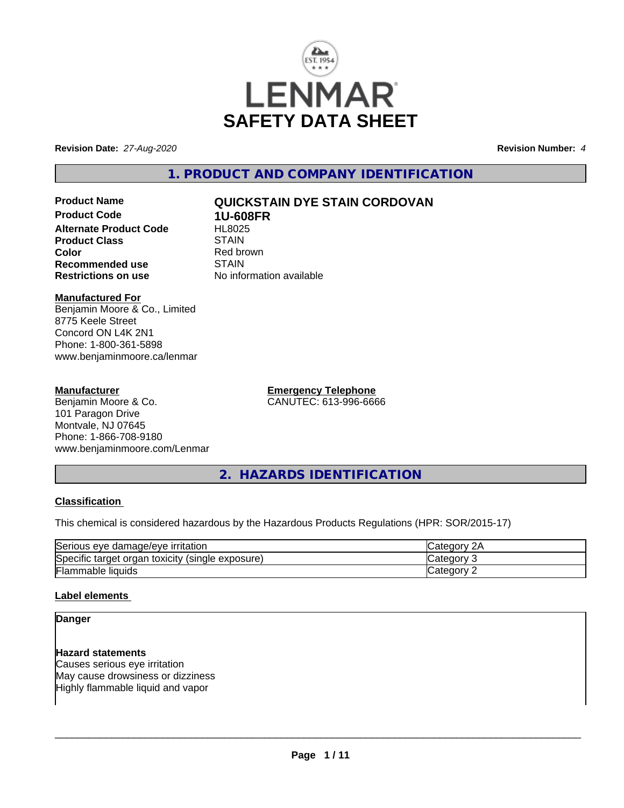

**Revision Date:** *27-Aug-2020* **Revision Number:** *4*

**1. PRODUCT AND COMPANY IDENTIFICATION**

**Product Name QUICKSTAIN DYE STAIN CORDOVAN Product Code 1U-608FR Alternate Product Code HL8025**<br>Product Class STAIN **Product Class** 

**Color**<br> **Recommended use**<br> **COLORER STAIN No information available** 

### **Manufactured For**

**Recommended use**<br>Restrictions on use

Benjamin Moore & Co., Limited 8775 Keele Street Concord ON L4K 2N1 Phone: 1-800-361-5898 www.benjaminmoore.ca/lenmar

#### **Manufacturer**

Benjamin Moore & Co. 101 Paragon Drive Montvale, NJ 07645 Phone: 1-866-708-9180 www.benjaminmoore.com/Lenmar **Emergency Telephone** CANUTEC: 613-996-6666

**2. HAZARDS IDENTIFICATION**

### **Classification**

This chemical is considered hazardous by the Hazardous Products Regulations (HPR: SOR/2015-17)

| Serious<br>∘ damaɑe/eve<br><b>irritation</b><br>eve          | и.    |
|--------------------------------------------------------------|-------|
| Specific<br>(single exposure)<br>toxicity<br>organ<br>target | аог   |
| Flammable<br><b>liquids</b>                                  | .eaor |

### **Label elements**

#### **Danger**

#### **Hazard statements**

Causes serious eye irritation May cause drowsiness or dizziness Highly flammable liquid and vapor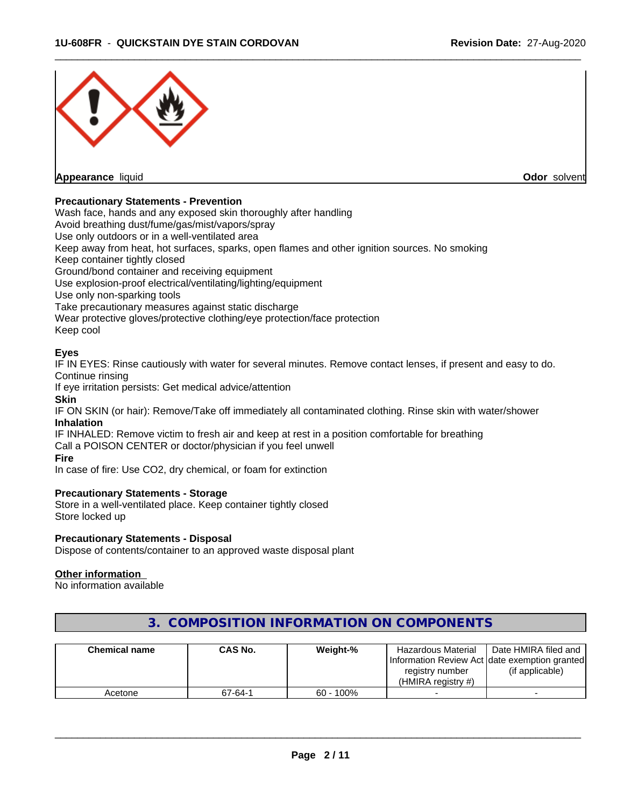

#### **Precautionary Statements - Prevention**

Wash face, hands and any exposed skin thoroughly after handling

Avoid breathing dust/fume/gas/mist/vapors/spray

Use only outdoors or in a well-ventilated area

Keep away from heat, hot surfaces, sparks, open flames and other ignition sources. No smoking

Keep container tightly closed

Ground/bond container and receiving equipment

Use explosion-proof electrical/ventilating/lighting/equipment

Use only non-sparking tools

Take precautionary measures against static discharge

Wear protective gloves/protective clothing/eye protection/face protection

Keep cool

#### **Eyes**

IF IN EYES: Rinse cautiously with water for several minutes. Remove contact lenses, if present and easy to do. Continue rinsing

If eye irritation persists: Get medical advice/attention

#### **Skin**

IF ON SKIN (or hair): Remove/Take off immediately all contaminated clothing. Rinse skin with water/shower **Inhalation**

IF INHALED: Remove victim to fresh air and keep at rest in a position comfortable for breathing Call a POISON CENTER or doctor/physician if you feel unwell

#### **Fire**

In case of fire: Use CO2, dry chemical, or foam for extinction

#### **Precautionary Statements - Storage**

Store in a well-ventilated place. Keep container tightly closed Store locked up

#### **Precautionary Statements - Disposal**

Dispose of contents/container to an approved waste disposal plant

#### **Other information**

No information available

| <b>Chemical name</b> | CAS No. | Weight-%     | Hazardous Material                            | Date HMIRA filed and |
|----------------------|---------|--------------|-----------------------------------------------|----------------------|
|                      |         |              | Information Review Act date exemption granted |                      |
|                      |         |              | registry number                               | (if applicable)      |
|                      |         |              | (HMIRA registry $#$ )                         |                      |
| Acetone              | 67-64-1 | $60 - 100\%$ |                                               |                      |

# **3. COMPOSITION INFORMATION ON COMPONENTS**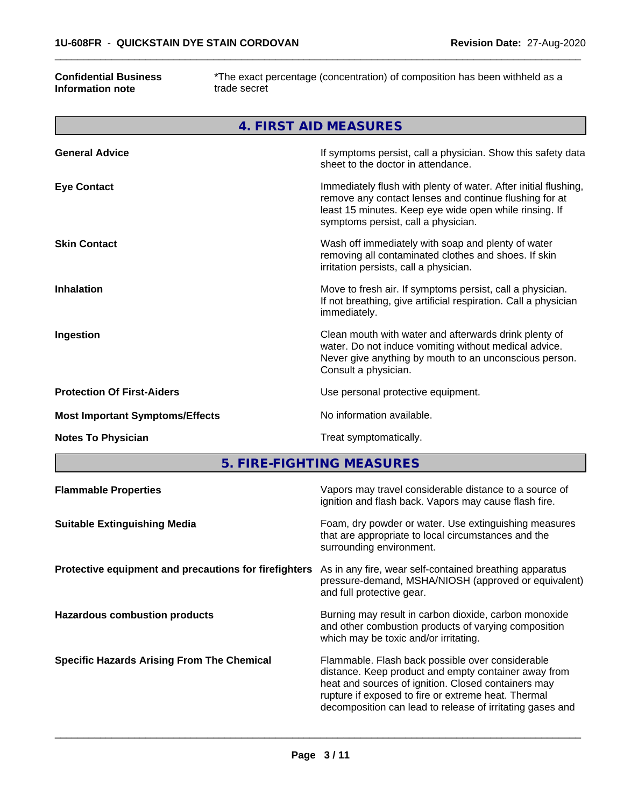#### **Confidential Business Information note**

г

\*The exact percentage (concentration) of composition has been withheld as a trade secret

 $\overline{\phantom{a}}$  ,  $\overline{\phantom{a}}$  ,  $\overline{\phantom{a}}$  ,  $\overline{\phantom{a}}$  ,  $\overline{\phantom{a}}$  ,  $\overline{\phantom{a}}$  ,  $\overline{\phantom{a}}$  ,  $\overline{\phantom{a}}$  ,  $\overline{\phantom{a}}$  ,  $\overline{\phantom{a}}$  ,  $\overline{\phantom{a}}$  ,  $\overline{\phantom{a}}$  ,  $\overline{\phantom{a}}$  ,  $\overline{\phantom{a}}$  ,  $\overline{\phantom{a}}$  ,  $\overline{\phantom{a}}$ 

| 4. FIRST AID MEASURES                  |                                                                                                                                                                                                                            |  |  |  |
|----------------------------------------|----------------------------------------------------------------------------------------------------------------------------------------------------------------------------------------------------------------------------|--|--|--|
| <b>General Advice</b>                  | If symptoms persist, call a physician. Show this safety data<br>sheet to the doctor in attendance.                                                                                                                         |  |  |  |
| <b>Eye Contact</b>                     | Immediately flush with plenty of water. After initial flushing,<br>remove any contact lenses and continue flushing for at<br>least 15 minutes. Keep eye wide open while rinsing. If<br>symptoms persist, call a physician. |  |  |  |
| <b>Skin Contact</b>                    | Wash off immediately with soap and plenty of water<br>removing all contaminated clothes and shoes. If skin<br>irritation persists, call a physician.                                                                       |  |  |  |
| <b>Inhalation</b>                      | Move to fresh air. If symptoms persist, call a physician.<br>If not breathing, give artificial respiration. Call a physician<br>immediately.                                                                               |  |  |  |
| Ingestion                              | Clean mouth with water and afterwards drink plenty of<br>water. Do not induce vomiting without medical advice.<br>Never give anything by mouth to an unconscious person.<br>Consult a physician.                           |  |  |  |
| <b>Protection Of First-Aiders</b>      | Use personal protective equipment.                                                                                                                                                                                         |  |  |  |
| <b>Most Important Symptoms/Effects</b> | No information available.                                                                                                                                                                                                  |  |  |  |
| <b>Notes To Physician</b>              | Treat symptomatically.                                                                                                                                                                                                     |  |  |  |

**5. FIRE-FIGHTING MEASURES**

| <b>Flammable Properties</b>                           | Vapors may travel considerable distance to a source of<br>ignition and flash back. Vapors may cause flash fire.                                                                                                                                                                     |
|-------------------------------------------------------|-------------------------------------------------------------------------------------------------------------------------------------------------------------------------------------------------------------------------------------------------------------------------------------|
| <b>Suitable Extinguishing Media</b>                   | Foam, dry powder or water. Use extinguishing measures<br>that are appropriate to local circumstances and the<br>surrounding environment.                                                                                                                                            |
| Protective equipment and precautions for firefighters | As in any fire, wear self-contained breathing apparatus<br>pressure-demand, MSHA/NIOSH (approved or equivalent)<br>and full protective gear.                                                                                                                                        |
| <b>Hazardous combustion products</b>                  | Burning may result in carbon dioxide, carbon monoxide<br>and other combustion products of varying composition<br>which may be toxic and/or irritating.                                                                                                                              |
| <b>Specific Hazards Arising From The Chemical</b>     | Flammable. Flash back possible over considerable<br>distance. Keep product and empty container away from<br>heat and sources of ignition. Closed containers may<br>rupture if exposed to fire or extreme heat. Thermal<br>decomposition can lead to release of irritating gases and |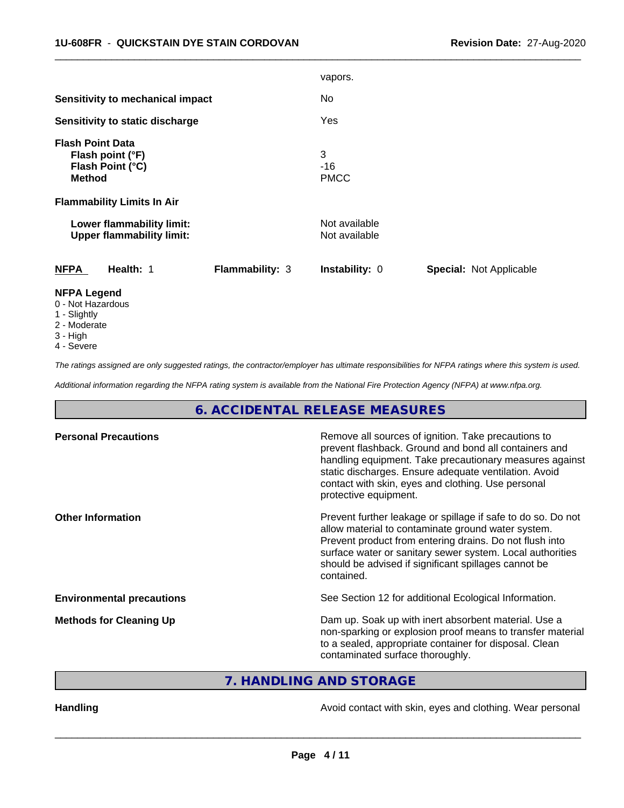|                                                                                  |                        | vapors.                        |                         |
|----------------------------------------------------------------------------------|------------------------|--------------------------------|-------------------------|
| Sensitivity to mechanical impact                                                 |                        | No                             |                         |
| Sensitivity to static discharge                                                  |                        | Yes                            |                         |
| <b>Flash Point Data</b><br>Flash point (°F)<br>Flash Point (°C)<br><b>Method</b> |                        | 3<br>-16<br><b>PMCC</b>        |                         |
| <b>Flammability Limits In Air</b>                                                |                        |                                |                         |
| Lower flammability limit:<br><b>Upper flammability limit:</b>                    |                        | Not available<br>Not available |                         |
| <b>NFPA</b><br>Health: 1                                                         | <b>Flammability: 3</b> | Instability: 0                 | Special: Not Applicable |
| <b>NFPA Legend</b><br>0 - Not Hazardous                                          |                        |                                |                         |

 $\overline{\phantom{a}}$  ,  $\overline{\phantom{a}}$  ,  $\overline{\phantom{a}}$  ,  $\overline{\phantom{a}}$  ,  $\overline{\phantom{a}}$  ,  $\overline{\phantom{a}}$  ,  $\overline{\phantom{a}}$  ,  $\overline{\phantom{a}}$  ,  $\overline{\phantom{a}}$  ,  $\overline{\phantom{a}}$  ,  $\overline{\phantom{a}}$  ,  $\overline{\phantom{a}}$  ,  $\overline{\phantom{a}}$  ,  $\overline{\phantom{a}}$  ,  $\overline{\phantom{a}}$  ,  $\overline{\phantom{a}}$ 

- 1 Slightly
- 
- 2 Moderate 3 - High
- 
- 4 Severe

*The ratings assigned are only suggested ratings, the contractor/employer has ultimate responsibilities for NFPA ratings where this system is used.*

*Additional information regarding the NFPA rating system is available from the National Fire Protection Agency (NFPA) at www.nfpa.org.*

# **6. ACCIDENTAL RELEASE MEASURES**

| Remove all sources of ignition. Take precautions to<br>prevent flashback. Ground and bond all containers and<br>handling equipment. Take precautionary measures against<br>static discharges. Ensure adequate ventilation. Avoid<br>contact with skin, eyes and clothing. Use personal<br>protective equipment.  |
|------------------------------------------------------------------------------------------------------------------------------------------------------------------------------------------------------------------------------------------------------------------------------------------------------------------|
| Prevent further leakage or spillage if safe to do so. Do not<br>allow material to contaminate ground water system.<br>Prevent product from entering drains. Do not flush into<br>surface water or sanitary sewer system. Local authorities<br>should be advised if significant spillages cannot be<br>contained. |
| See Section 12 for additional Ecological Information.                                                                                                                                                                                                                                                            |
| Dam up. Soak up with inert absorbent material. Use a<br>non-sparking or explosion proof means to transfer material<br>to a sealed, appropriate container for disposal. Clean<br>contaminated surface thoroughly.                                                                                                 |
|                                                                                                                                                                                                                                                                                                                  |

**7. HANDLING AND STORAGE**

Handling **Handling Handling Avoid contact with skin, eyes and clothing. Wear personal**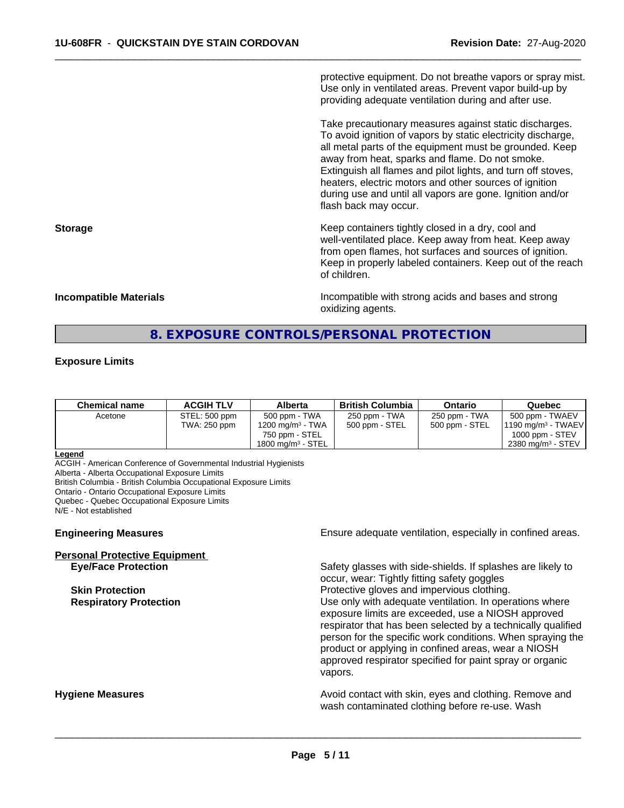protective equipment. Do not breathe vapors or spray mist. Use only in ventilated areas. Prevent vapor build-up by providing adequate ventilation during and after use.

 $\overline{\phantom{a}}$  ,  $\overline{\phantom{a}}$  ,  $\overline{\phantom{a}}$  ,  $\overline{\phantom{a}}$  ,  $\overline{\phantom{a}}$  ,  $\overline{\phantom{a}}$  ,  $\overline{\phantom{a}}$  ,  $\overline{\phantom{a}}$  ,  $\overline{\phantom{a}}$  ,  $\overline{\phantom{a}}$  ,  $\overline{\phantom{a}}$  ,  $\overline{\phantom{a}}$  ,  $\overline{\phantom{a}}$  ,  $\overline{\phantom{a}}$  ,  $\overline{\phantom{a}}$  ,  $\overline{\phantom{a}}$ 

Take precautionary measures against static discharges. To avoid ignition of vapors by static electricity discharge, all metal parts of the equipment must be grounded. Keep away from heat, sparks and flame. Do not smoke. Extinguish all flames and pilot lights, and turn off stoves, heaters, electric motors and other sources of ignition during use and until all vapors are gone. Ignition and/or flash back may occur.

**Storage Keep containers tightly closed in a dry, cool and get a dry and structure in a dry and structure in a dry and structure in a dry and structure in a dry and structure in a dry and structure in a dry and structure** well-ventilated place. Keep away from heat. Keep away from open flames, hot surfaces and sources of ignition. Keep in properly labeled containers. Keep out of the reach of children.

**Incompatible Materials Incompatible Materials Incompatible with strong acids and bases and strong** oxidizing agents.

# **8. EXPOSURE CONTROLS/PERSONAL PROTECTION**

#### **Exposure Limits**

| 500 ppm - TWA<br>250 ppm - TWA<br>250 ppm - TWA<br>STEL: 500 ppm<br>500 ppm - TWAEV<br>Acetone<br>500 ppm - STEL<br>TWA: 250 ppm<br>1200 mg/m <sup>3</sup> - TWA<br>500 ppm - STEL<br>$11190$ mg/m <sup>3</sup> - TWAEV<br>750 ppm - STEL<br>1000 ppm - $STEV$ | <b>Chemical name</b> | <b>ACGIH TLV</b> | Alberta              | <b>British Columbia</b> | Ontario | Quebec               |
|----------------------------------------------------------------------------------------------------------------------------------------------------------------------------------------------------------------------------------------------------------------|----------------------|------------------|----------------------|-------------------------|---------|----------------------|
|                                                                                                                                                                                                                                                                |                      |                  | 1800 mg/m $3$ - STEL |                         |         | 2380 mg/m $3$ - STEV |

#### **Legend**

ACGIH - American Conference of Governmental Industrial Hygienists

Alberta - Alberta Occupational Exposure Limits

British Columbia - British Columbia Occupational Exposure Limits

Ontario - Ontario Occupational Exposure Limits

Quebec - Quebec Occupational Exposure Limits

N/E - Not established

# **Personal Protective Equipment**

**Engineering Measures Ensure** Ensure adequate ventilation, especially in confined areas.

**Eye/Face Protection** Safety glasses with side-shields. If splashes are likely to occur, wear: Tightly fitting safety goggles **Skin Protection Protection Protective gloves and impervious clothing. Respiratory Protection Number 1** (Use only with adequate ventilation. In operations where exposure limits are exceeded, use a NIOSH approved respirator that has been selected by a technically qualified person for the specific work conditions. When spraying the product or applying in confined areas, wear a NIOSH approved respirator specified for paint spray or organic vapors.

**Hygiene Measures Avoid contact with skin, eyes and clothing. Remove and Avoid contact with skin, eyes and clothing. Remove and Avoid contact with skin, eyes and clothing. Remove and** wash contaminated clothing before re-use. Wash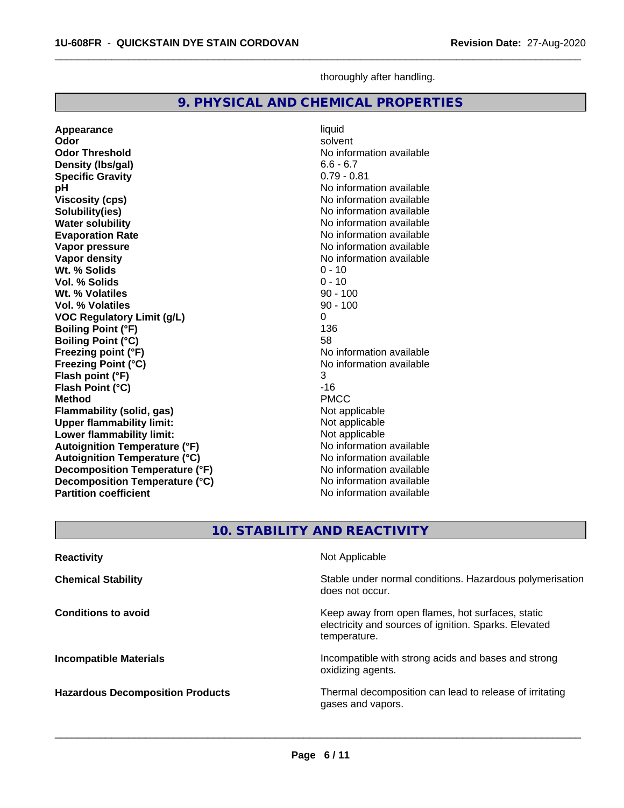**Specific Gravity** 

**Wt. % Volatiles** 

**Appearance and intervention of the set of the set of the set of the set of the set of the set of the set of the set of the set of the set of the set of the set of the set of the set of the set of the set of the set of the** 

**Wt. % Solids** 0 - 10<br> **Vol. % Solids** 0 - 10 **Vol. % Solids** 0 - 10

**Density (lbs/gal)** 6.6 - 6.7<br> **Specific Gravity** 6.79 - 0.81

**Odor** solvent **Odor Threshold** No information available

**pH** No information available **Viscosity (cps)** No information available<br> **Solubility(ies)** No information available<br>
No information available

**Water solubility**<br> **Evaporation Rate**<br> **Evaporation Rate**<br> **Evaporation Rate Evaporation Rate Evaporation Rate** No information available<br> **Vapor pressure** No information available

**Vapor density**<br> **Vapor density**<br> **With % Solids**<br> **With % Solids**<br> **With Museum Contract Contract Contract O - 10** 

| <b>Vol. % Volatiles</b>               | $90 - 100$                                               |
|---------------------------------------|----------------------------------------------------------|
| <b>VOC Regulatory Limit (g/L)</b>     | 0                                                        |
| <b>Boiling Point (°F)</b>             | 136                                                      |
| <b>Boiling Point (°C)</b>             | 58                                                       |
| Freezing point (°F)                   | No information available                                 |
| <b>Freezing Point (°C)</b>            | No information available                                 |
| Flash point (°F)                      | 3                                                        |
| Flash Point (°C)                      | $-16$                                                    |
| <b>Method</b>                         | <b>PMCC</b>                                              |
| Flammability (solid, gas)             | Not applicable                                           |
| <b>Upper flammability limit:</b>      | Not applicable                                           |
| Lower flammability limit:             | Not applicable                                           |
| <b>Autoignition Temperature (°F)</b>  | No information available                                 |
| <b>Autoignition Temperature (°C)</b>  | No information available                                 |
| <b>Decomposition Temperature (°F)</b> | No information available                                 |
| Decomposition Temperature (°C)        | No information available                                 |
| <b>Partition coefficient</b>          | No information available                                 |
|                                       |                                                          |
|                                       |                                                          |
|                                       | 10. STABILITY AND REACTIVITY                             |
|                                       |                                                          |
| <b>Reactivity</b>                     | Not Applicable                                           |
| <b>Chemical Stability</b>             | Stable under normal conditions. Hazardous polymerisation |
|                                       | does not occur.                                          |
|                                       |                                                          |
| <b>Conditions to avoid</b>            | Keep away from open flames, hot surfaces, static         |
|                                       | electricity and sources of ignition. Sparks. Elevated    |
|                                       | temperature.                                             |
|                                       |                                                          |
| <b>Incompatible Materials</b>         | Incompatible with strong acids and bases and strong      |
|                                       | oxidizing agents.                                        |

thoroughly after handling.

**No information available** 

**No information available** 

 $\overline{\phantom{a}}$  ,  $\overline{\phantom{a}}$  ,  $\overline{\phantom{a}}$  ,  $\overline{\phantom{a}}$  ,  $\overline{\phantom{a}}$  ,  $\overline{\phantom{a}}$  ,  $\overline{\phantom{a}}$  ,  $\overline{\phantom{a}}$  ,  $\overline{\phantom{a}}$  ,  $\overline{\phantom{a}}$  ,  $\overline{\phantom{a}}$  ,  $\overline{\phantom{a}}$  ,  $\overline{\phantom{a}}$  ,  $\overline{\phantom{a}}$  ,  $\overline{\phantom{a}}$  ,  $\overline{\phantom{a}}$ 

**9. PHYSICAL AND CHEMICAL PROPERTIES**

**Hazardous Decomposition Products** Thermal decomposition can lead to release of irritating gases and vapors.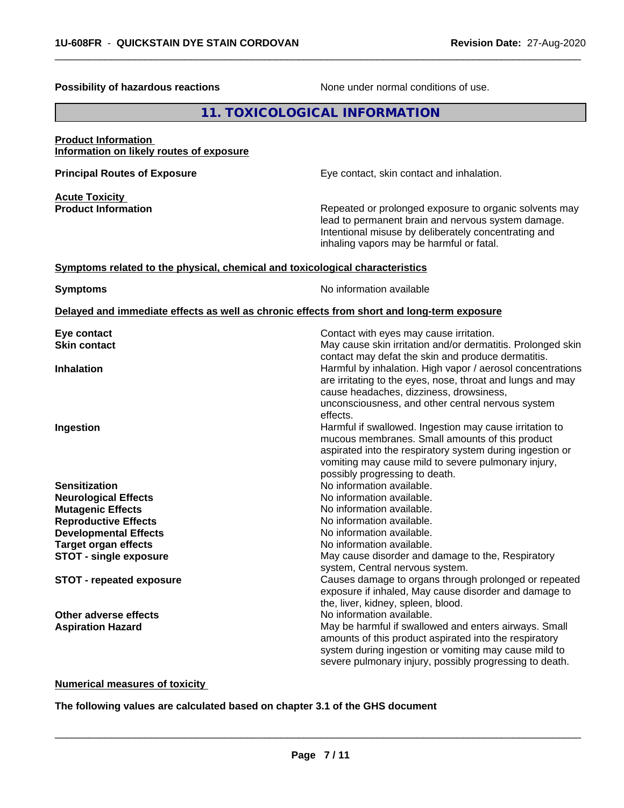| <b>Possibility of hazardous reactions</b>                                                  | None under normal conditions of use.                                                                                                                                                                                                                                                       |
|--------------------------------------------------------------------------------------------|--------------------------------------------------------------------------------------------------------------------------------------------------------------------------------------------------------------------------------------------------------------------------------------------|
|                                                                                            | 11. TOXICOLOGICAL INFORMATION                                                                                                                                                                                                                                                              |
| <b>Product Information</b><br>Information on likely routes of exposure                     |                                                                                                                                                                                                                                                                                            |
| <b>Principal Routes of Exposure</b>                                                        | Eye contact, skin contact and inhalation.                                                                                                                                                                                                                                                  |
| <b>Acute Toxicity</b>                                                                      |                                                                                                                                                                                                                                                                                            |
| <b>Product Information</b>                                                                 | Repeated or prolonged exposure to organic solvents may<br>lead to permanent brain and nervous system damage.<br>Intentional misuse by deliberately concentrating and<br>inhaling vapors may be harmful or fatal.                                                                           |
| Symptoms related to the physical, chemical and toxicological characteristics               |                                                                                                                                                                                                                                                                                            |
| <b>Symptoms</b>                                                                            | No information available                                                                                                                                                                                                                                                                   |
| Delayed and immediate effects as well as chronic effects from short and long-term exposure |                                                                                                                                                                                                                                                                                            |
| Eye contact<br><b>Skin contact</b>                                                         | Contact with eyes may cause irritation.<br>May cause skin irritation and/or dermatitis. Prolonged skin                                                                                                                                                                                     |
| <b>Inhalation</b>                                                                          | contact may defat the skin and produce dermatitis.<br>Harmful by inhalation. High vapor / aerosol concentrations<br>are irritating to the eyes, nose, throat and lungs and may<br>cause headaches, dizziness, drowsiness,<br>unconsciousness, and other central nervous system<br>effects. |
| Ingestion                                                                                  | Harmful if swallowed. Ingestion may cause irritation to<br>mucous membranes. Small amounts of this product<br>aspirated into the respiratory system during ingestion or<br>vomiting may cause mild to severe pulmonary injury,<br>possibly progressing to death.                           |
| <b>Sensitization</b>                                                                       | No information available.                                                                                                                                                                                                                                                                  |
| <b>Neurological Effects</b>                                                                | No information available.                                                                                                                                                                                                                                                                  |
| <b>Mutagenic Effects</b>                                                                   | No information available.                                                                                                                                                                                                                                                                  |
| <b>Reproductive Effects</b>                                                                | No information available.                                                                                                                                                                                                                                                                  |
| <b>Developmental Effects</b>                                                               | No information available.                                                                                                                                                                                                                                                                  |
| <b>Target organ effects</b>                                                                | No information available.                                                                                                                                                                                                                                                                  |
| <b>STOT - single exposure</b>                                                              | May cause disorder and damage to the, Respiratory                                                                                                                                                                                                                                          |
| <b>STOT - repeated exposure</b>                                                            | system, Central nervous system.<br>Causes damage to organs through prolonged or repeated<br>exposure if inhaled, May cause disorder and damage to<br>the, liver, kidney, spleen, blood.                                                                                                    |
| Other adverse effects                                                                      | No information available.                                                                                                                                                                                                                                                                  |
| <b>Aspiration Hazard</b>                                                                   | May be harmful if swallowed and enters airways. Small<br>amounts of this product aspirated into the respiratory<br>system during ingestion or vomiting may cause mild to<br>severe pulmonary injury, possibly progressing to death.                                                        |

 $\overline{\phantom{a}}$  ,  $\overline{\phantom{a}}$  ,  $\overline{\phantom{a}}$  ,  $\overline{\phantom{a}}$  ,  $\overline{\phantom{a}}$  ,  $\overline{\phantom{a}}$  ,  $\overline{\phantom{a}}$  ,  $\overline{\phantom{a}}$  ,  $\overline{\phantom{a}}$  ,  $\overline{\phantom{a}}$  ,  $\overline{\phantom{a}}$  ,  $\overline{\phantom{a}}$  ,  $\overline{\phantom{a}}$  ,  $\overline{\phantom{a}}$  ,  $\overline{\phantom{a}}$  ,  $\overline{\phantom{a}}$ 

**Numerical measures of toxicity**

**The following values are calculated based on chapter 3.1 of the GHS document**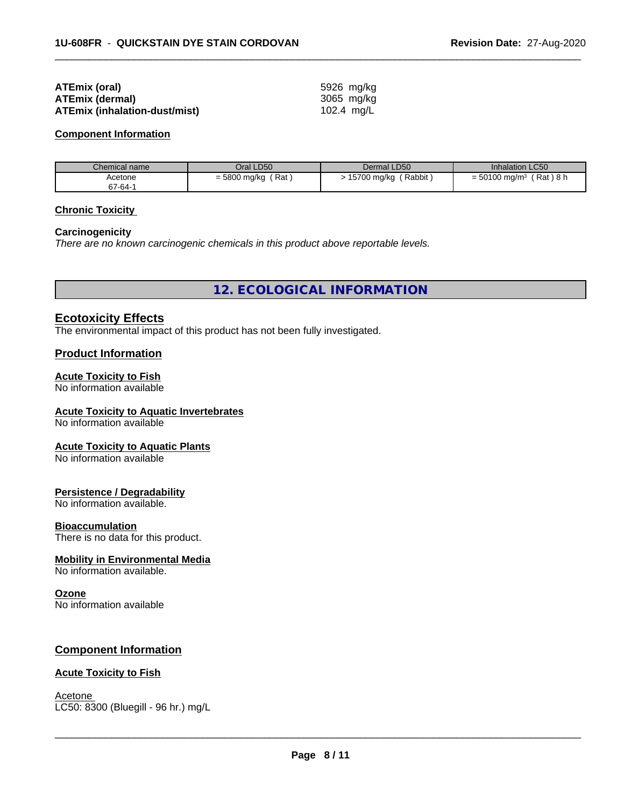| ATEmix (oral)                 | 5926 mg/kg |
|-------------------------------|------------|
| <b>ATEmix (dermal)</b>        | 3065 mg/ka |
| ATEmix (inhalation-dust/mist) | 102.4 mg/L |

#### **Component Information**

| Chemical name | Oral LD50             | Dermal LD50           | Inhalation LC50                         |
|---------------|-----------------------|-----------------------|-----------------------------------------|
| Acetone       | Rat<br>$= 5800$ mg/kg | 15700 mg/kg<br>Rabbit | 「Rat)8 h<br>$=$ 50100 mg/m <sup>3</sup> |
| 67-64-1       |                       |                       |                                         |

 $\overline{\phantom{a}}$  ,  $\overline{\phantom{a}}$  ,  $\overline{\phantom{a}}$  ,  $\overline{\phantom{a}}$  ,  $\overline{\phantom{a}}$  ,  $\overline{\phantom{a}}$  ,  $\overline{\phantom{a}}$  ,  $\overline{\phantom{a}}$  ,  $\overline{\phantom{a}}$  ,  $\overline{\phantom{a}}$  ,  $\overline{\phantom{a}}$  ,  $\overline{\phantom{a}}$  ,  $\overline{\phantom{a}}$  ,  $\overline{\phantom{a}}$  ,  $\overline{\phantom{a}}$  ,  $\overline{\phantom{a}}$ 

#### **Chronic Toxicity**

#### **Carcinogenicity**

*There are no known carcinogenic chemicals in this product above reportable levels.*

**12. ECOLOGICAL INFORMATION**

#### **Ecotoxicity Effects**

The environmental impact of this product has not been fully investigated.

#### **Product Information**

#### **Acute Toxicity to Fish**

No information available

#### **Acute Toxicity to Aquatic Invertebrates**

No information available

#### **Acute Toxicity to Aquatic Plants**

No information available

#### **Persistence / Degradability**

No information available.

#### **Bioaccumulation**

There is no data for this product.

#### **Mobility in Environmental Media**

No information available.

#### **Ozone**

No information available

#### **Component Information**

#### **Acute Toxicity to Fish**

Acetone \_\_\_\_\_\_\_\_\_\_\_\_\_\_\_\_\_\_\_\_\_\_\_\_\_\_\_\_\_\_\_\_\_\_\_\_\_\_\_\_\_\_\_\_\_\_\_\_\_\_\_\_\_\_\_\_\_\_\_\_\_\_\_\_\_\_\_\_\_\_\_\_\_\_\_\_\_\_\_\_\_\_\_\_\_\_\_\_\_\_\_\_\_ LC50: 8300 (Bluegill - 96 hr.) mg/L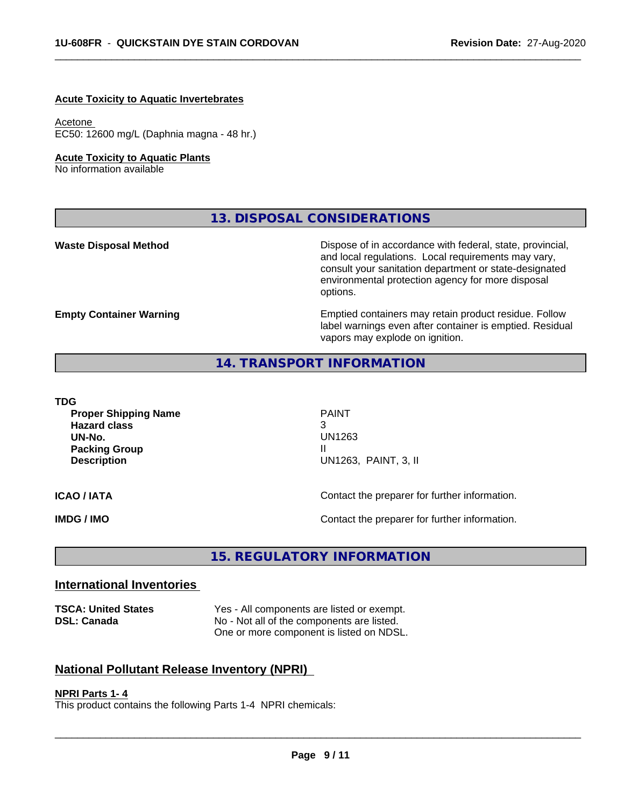#### **Acute Toxicity to Aquatic Invertebrates**

#### Acetone

EC50: 12600 mg/L (Daphnia magna - 48 hr.)

#### **Acute Toxicity to Aquatic Plants**

No information available

**13. DISPOSAL CONSIDERATIONS**

**Waste Disposal Method** Mateur Dispose of in accordance with federal, state, provincial, and local regulations. Local requirements may vary, consult your sanitation department or state-designated environmental protection agency for more disposal options.

**Empty Container Warning <b>Emptied** Containers may retain product residue. Follow label warnings even after container is emptied. Residual vapors may explode on ignition.

## **14. TRANSPORT INFORMATION**

#### **TDG**

**Proper Shipping Name PAINT Hazard class** 3 **UN-No.** UN1263 **Packing Group Case 20 April 2018 11 April 2019 11 April 2019 11 April 2019 11 April 2019 11 April 2019 11 April 2019 Description** UN1263, PAINT, 3, II

 $\overline{\phantom{a}}$  ,  $\overline{\phantom{a}}$  ,  $\overline{\phantom{a}}$  ,  $\overline{\phantom{a}}$  ,  $\overline{\phantom{a}}$  ,  $\overline{\phantom{a}}$  ,  $\overline{\phantom{a}}$  ,  $\overline{\phantom{a}}$  ,  $\overline{\phantom{a}}$  ,  $\overline{\phantom{a}}$  ,  $\overline{\phantom{a}}$  ,  $\overline{\phantom{a}}$  ,  $\overline{\phantom{a}}$  ,  $\overline{\phantom{a}}$  ,  $\overline{\phantom{a}}$  ,  $\overline{\phantom{a}}$ 

**ICAO / IATA ICAO / IATA Contact the preparer for further information.** 

**IMDG / IMO IMO Contact the preparer for further information.** 

**15. REGULATORY INFORMATION**

#### **International Inventories**

**TSCA: United States** Yes - All components are listed or exempt. **DSL: Canada** No - Not all of the components are listed. One or more component is listed on NDSL.

# **National Pollutant Release Inventory (NPRI)**

#### **NPRI Parts 1- 4**

This product contains the following Parts 1-4 NPRI chemicals: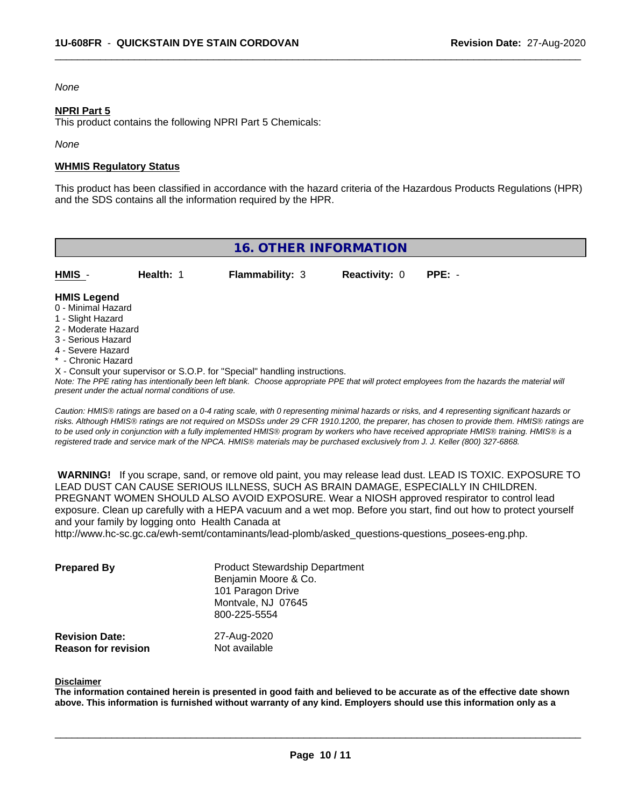#### *None*

#### **NPRI Part 5**

This product contains the following NPRI Part 5 Chemicals:

*None*

#### **WHMIS Regulatory Status**

This product has been classified in accordance with the hazard criteria of the Hazardous Products Regulations (HPR) and the SDS contains all the information required by the HPR.

 $\overline{\phantom{a}}$  ,  $\overline{\phantom{a}}$  ,  $\overline{\phantom{a}}$  ,  $\overline{\phantom{a}}$  ,  $\overline{\phantom{a}}$  ,  $\overline{\phantom{a}}$  ,  $\overline{\phantom{a}}$  ,  $\overline{\phantom{a}}$  ,  $\overline{\phantom{a}}$  ,  $\overline{\phantom{a}}$  ,  $\overline{\phantom{a}}$  ,  $\overline{\phantom{a}}$  ,  $\overline{\phantom{a}}$  ,  $\overline{\phantom{a}}$  ,  $\overline{\phantom{a}}$  ,  $\overline{\phantom{a}}$ 

| <b>16. OTHER INFORMATION</b>                                                                                                                                                                                                                                                      |           |                        |                      |          |  |  |
|-----------------------------------------------------------------------------------------------------------------------------------------------------------------------------------------------------------------------------------------------------------------------------------|-----------|------------------------|----------------------|----------|--|--|
| HMIS -                                                                                                                                                                                                                                                                            | Health: 1 | <b>Flammability: 3</b> | <b>Reactivity: 0</b> | $PPE: -$ |  |  |
| <b>HMIS Legend</b><br>0 - Minimal Hazard<br>1 - Slight Hazard<br>2 - Moderate Hazard<br>3 - Serious Hazard<br>4 - Severe Hazard<br>* - Chronic Hazard                                                                                                                             |           |                        |                      |          |  |  |
| X - Consult your supervisor or S.O.P. for "Special" handling instructions.<br>Note: The PPE rating has intentionally been left blank. Choose appropriate PPE that will protect employees from the hazards the material will<br>present under the actual normal conditions of use. |           |                        |                      |          |  |  |

*Caution: HMISÒ ratings are based on a 0-4 rating scale, with 0 representing minimal hazards or risks, and 4 representing significant hazards or risks. Although HMISÒ ratings are not required on MSDSs under 29 CFR 1910.1200, the preparer, has chosen to provide them. HMISÒ ratings are to be used only in conjunction with a fully implemented HMISÒ program by workers who have received appropriate HMISÒ training. HMISÒ is a registered trade and service mark of the NPCA. HMISÒ materials may be purchased exclusively from J. J. Keller (800) 327-6868.*

 **WARNING!** If you scrape, sand, or remove old paint, you may release lead dust. LEAD IS TOXIC. EXPOSURE TO LEAD DUST CAN CAUSE SERIOUS ILLNESS, SUCH AS BRAIN DAMAGE, ESPECIALLY IN CHILDREN. PREGNANT WOMEN SHOULD ALSO AVOID EXPOSURE.Wear a NIOSH approved respirator to control lead exposure. Clean up carefully with a HEPA vacuum and a wet mop. Before you start, find out how to protect yourself and your family by logging onto Health Canada at

http://www.hc-sc.gc.ca/ewh-semt/contaminants/lead-plomb/asked\_questions-questions\_posees-eng.php.

| <b>Prepared By</b>         | <b>Product Stewardship Department</b><br>Benjamin Moore & Co.<br>101 Paragon Drive<br>Montvale, NJ 07645<br>800-225-5554 |
|----------------------------|--------------------------------------------------------------------------------------------------------------------------|
| <b>Revision Date:</b>      | 27-Aug-2020                                                                                                              |
| <b>Reason for revision</b> | Not available                                                                                                            |

#### **Disclaimer**

The information contained herein is presented in good faith and believed to be accurate as of the effective date shown above. This information is furnished without warranty of any kind. Employers should use this information only as a